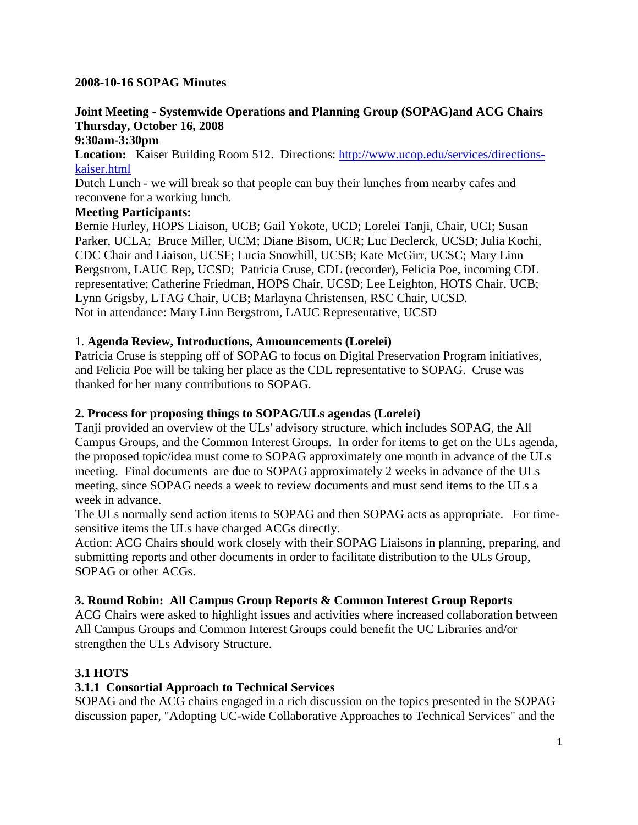#### **2008-10-16 SOPAG Minutes**

# **Joint Meeting - Systemwide Operations and Planning Group (SOPAG)and ACG Chairs Thursday, October 16, 2008**

#### **9:30am-3:30pm**

**Location:** Kaiser Building Room 512. Directions: http://www.ucop.edu/services/directionskaiser.html

Dutch Lunch - we will break so that people can buy their lunches from nearby cafes and reconvene for a working lunch.

#### **Meeting Participants:**

Bernie Hurley, HOPS Liaison, UCB; Gail Yokote, UCD; Lorelei Tanji, Chair, UCI; Susan Parker, UCLA; Bruce Miller, UCM; Diane Bisom, UCR; Luc Declerck, UCSD; Julia Kochi, CDC Chair and Liaison, UCSF; Lucia Snowhill, UCSB; Kate McGirr, UCSC; Mary Linn Bergstrom, LAUC Rep, UCSD; Patricia Cruse, CDL (recorder), Felicia Poe, incoming CDL representative; Catherine Friedman, HOPS Chair, UCSD; Lee Leighton, HOTS Chair, UCB; Lynn Grigsby, LTAG Chair, UCB; Marlayna Christensen, RSC Chair, UCSD. Not in attendance: Mary Linn Bergstrom, LAUC Representative, UCSD

#### 1. **Agenda Review, Introductions, Announcements (Lorelei)**

Patricia Cruse is stepping off of SOPAG to focus on Digital Preservation Program initiatives, and Felicia Poe will be taking her place as the CDL representative to SOPAG. Cruse was thanked for her many contributions to SOPAG.

#### **2. Process for proposing things to SOPAG/ULs agendas (Lorelei)**

Tanji provided an overview of the ULs' advisory structure, which includes SOPAG, the All Campus Groups, and the Common Interest Groups. In order for items to get on the ULs agenda, the proposed topic/idea must come to SOPAG approximately one month in advance of the ULs meeting. Final documents are due to SOPAG approximately 2 weeks in advance of the ULs meeting, since SOPAG needs a week to review documents and must send items to the ULs a week in advance.

The ULs normally send action items to SOPAG and then SOPAG acts as appropriate. For timesensitive items the ULs have charged ACGs directly.

Action: ACG Chairs should work closely with their SOPAG Liaisons in planning, preparing, and submitting reports and other documents in order to facilitate distribution to the ULs Group, SOPAG or other ACGs.

### **3. Round Robin: All Campus Group Reports & Common Interest Group Reports**

ACG Chairs were asked to highlight issues and activities where increased collaboration between All Campus Groups and Common Interest Groups could benefit the UC Libraries and/or strengthen the ULs Advisory Structure.

### **3.1 HOTS**

### **3.1.1 Consortial Approach to Technical Services**

SOPAG and the ACG chairs engaged in a rich discussion on the topics presented in the SOPAG discussion paper, "Adopting UC-wide Collaborative Approaches to Technical Services" and the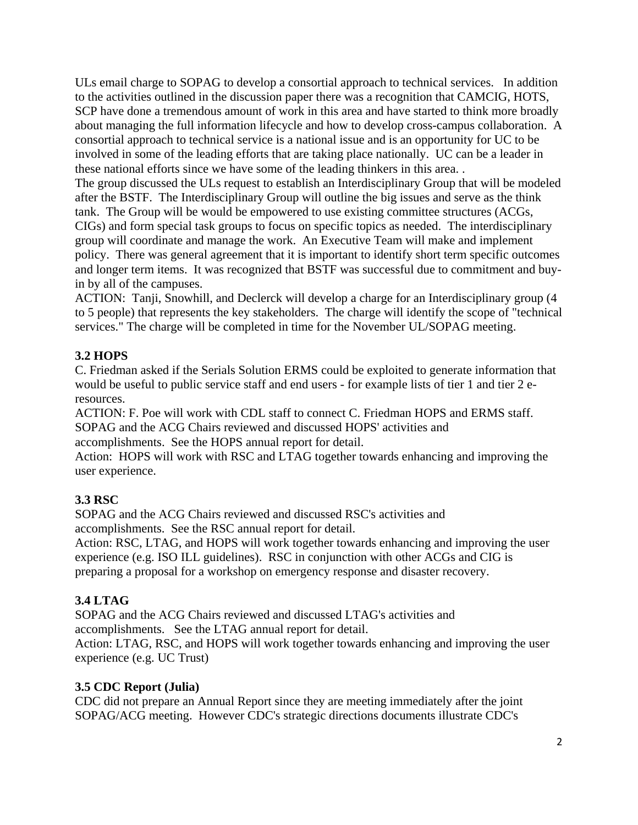ULs email charge to SOPAG to develop a consortial approach to technical services. In addition to the activities outlined in the discussion paper there was a recognition that CAMCIG, HOTS, SCP have done a tremendous amount of work in this area and have started to think more broadly about managing the full information lifecycle and how to develop cross-campus collaboration. A consortial approach to technical service is a national issue and is an opportunity for UC to be involved in some of the leading efforts that are taking place nationally. UC can be a leader in these national efforts since we have some of the leading thinkers in this area. .

The group discussed the ULs request to establish an Interdisciplinary Group that will be modeled after the BSTF. The Interdisciplinary Group will outline the big issues and serve as the think tank. The Group will be would be empowered to use existing committee structures (ACGs, CIGs) and form special task groups to focus on specific topics as needed. The interdisciplinary group will coordinate and manage the work. An Executive Team will make and implement policy. There was general agreement that it is important to identify short term specific outcomes and longer term items. It was recognized that BSTF was successful due to commitment and buyin by all of the campuses.

ACTION: Tanji, Snowhill, and Declerck will develop a charge for an Interdisciplinary group (4 to 5 people) that represents the key stakeholders. The charge will identify the scope of "technical services." The charge will be completed in time for the November UL/SOPAG meeting.

# **3.2 HOPS**

C. Friedman asked if the Serials Solution ERMS could be exploited to generate information that would be useful to public service staff and end users - for example lists of tier 1 and tier 2 eresources.

ACTION: F. Poe will work with CDL staff to connect C. Friedman HOPS and ERMS staff. SOPAG and the ACG Chairs reviewed and discussed HOPS' activities and accomplishments. See the HOPS annual report for detail.

Action: HOPS will work with RSC and LTAG together towards enhancing and improving the user experience.

# **3.3 RSC**

SOPAG and the ACG Chairs reviewed and discussed RSC's activities and accomplishments. See the RSC annual report for detail.

Action: RSC, LTAG, and HOPS will work together towards enhancing and improving the user experience (e.g. ISO ILL guidelines). RSC in conjunction with other ACGs and CIG is preparing a proposal for a workshop on emergency response and disaster recovery.

# **3.4 LTAG**

SOPAG and the ACG Chairs reviewed and discussed LTAG's activities and accomplishments. See the LTAG annual report for detail.

Action: LTAG, RSC, and HOPS will work together towards enhancing and improving the user experience (e.g. UC Trust)

### **3.5 CDC Report (Julia)**

CDC did not prepare an Annual Report since they are meeting immediately after the joint SOPAG/ACG meeting. However CDC's strategic directions documents illustrate CDC's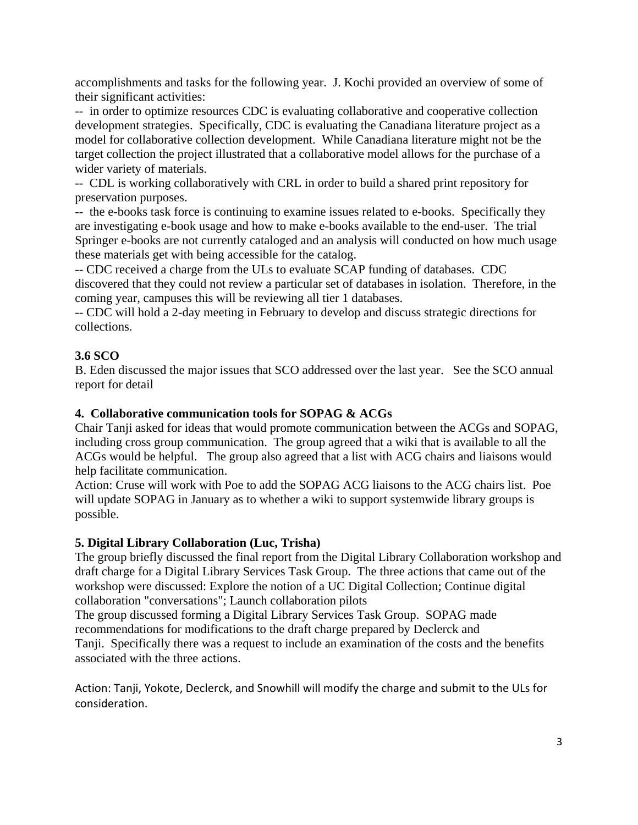accomplishments and tasks for the following year. J. Kochi provided an overview of some of their significant activities:

-- in order to optimize resources CDC is evaluating collaborative and cooperative collection development strategies. Specifically, CDC is evaluating the Canadiana literature project as a model for collaborative collection development. While Canadiana literature might not be the target collection the project illustrated that a collaborative model allows for the purchase of a wider variety of materials.

-- CDL is working collaboratively with CRL in order to build a shared print repository for preservation purposes.

-- the e-books task force is continuing to examine issues related to e-books. Specifically they are investigating e-book usage and how to make e-books available to the end-user. The trial Springer e-books are not currently cataloged and an analysis will conducted on how much usage these materials get with being accessible for the catalog.

-- CDC received a charge from the ULs to evaluate SCAP funding of databases. CDC discovered that they could not review a particular set of databases in isolation. Therefore, in the coming year, campuses this will be reviewing all tier 1 databases.

-- CDC will hold a 2-day meeting in February to develop and discuss strategic directions for collections.

### **3.6 SCO**

B. Eden discussed the major issues that SCO addressed over the last year. See the SCO annual report for detail

### **4. Collaborative communication tools for SOPAG & ACGs**

Chair Tanji asked for ideas that would promote communication between the ACGs and SOPAG, including cross group communication. The group agreed that a wiki that is available to all the ACGs would be helpful. The group also agreed that a list with ACG chairs and liaisons would help facilitate communication.

Action: Cruse will work with Poe to add the SOPAG ACG liaisons to the ACG chairs list. Poe will update SOPAG in January as to whether a wiki to support systemwide library groups is possible.

### **5. Digital Library Collaboration (Luc, Trisha)**

The group briefly discussed the final report from the Digital Library Collaboration workshop and draft charge for a Digital Library Services Task Group. The three actions that came out of the workshop were discussed: Explore the notion of a UC Digital Collection; Continue digital collaboration "conversations"; Launch collaboration pilots

The group discussed forming a Digital Library Services Task Group. SOPAG made recommendations for modifications to the draft charge prepared by Declerck and Tanji. Specifically there was a request to include an examination of the costs and the benefits associated with the three actions.

Action: Tanji, Yokote, Declerck, and Snowhill will modify the charge and submit to the ULs for consideration.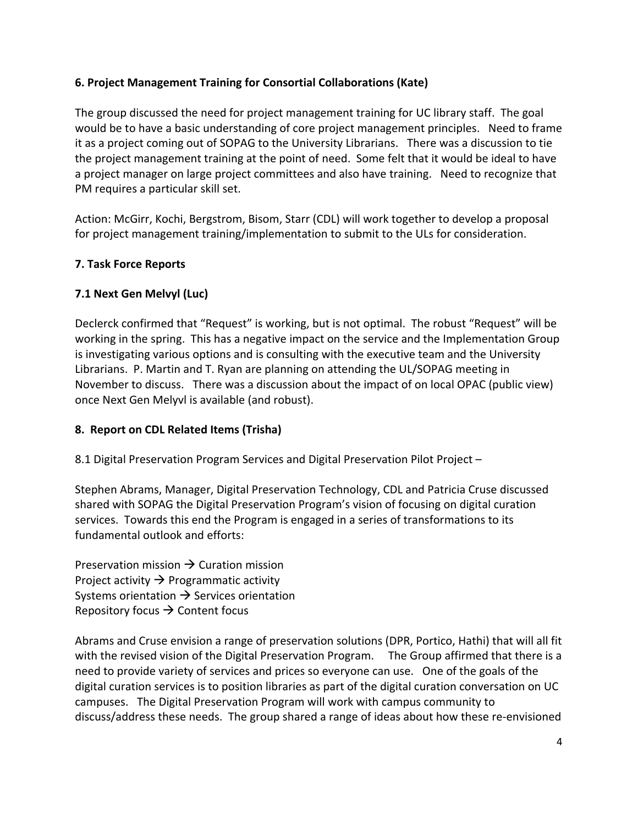### **6. Project Management Training for Consortial Collaborations (Kate)**

The group discussed the need for project management training for UC library staff. The goal would be to have a basic understanding of core project management principles. Need to frame it as a project coming out of SOPAG to the University Librarians. There was a discussion to tie the project management training at the point of need. Some felt that it would be ideal to have a project manager on large project committees and also have training. Need to recognize that PM requires a particular skill set.

Action: McGirr, Kochi, Bergstrom, Bisom, Starr (CDL) will work together to develop a proposal for project management training/implementation to submit to the ULs for consideration.

### **7. Task Force Reports**

### **7.1 Next Gen Melvyl (Luc)**

Declerck confirmed that "Request" is working, but is not optimal. The robust "Request" will be working in the spring. This has a negative impact on the service and the Implementation Group is investigating various options and is consulting with the executive team and the University Librarians. P. Martin and T. Ryan are planning on attending the UL/SOPAG meeting in November to discuss. There was a discussion about the impact of on local OPAC (public view) once Next Gen Melyvl is available (and robust).

# **8. Report on CDL Related Items (Trisha)**

8.1 Digital Preservation Program Services and Digital Preservation Pilot Project –

Stephen Abrams, Manager, Digital Preservation Technology, CDL and Patricia Cruse discussed shared with SOPAG the Digital Preservation Program's vision of focusing on digital curation services. Towards this end the Program is engaged in a series of transformations to its fundamental outlook and efforts:

Preservation mission  $\rightarrow$  Curation mission Project activity  $\rightarrow$  Programmatic activity Systems orientation  $\rightarrow$  Services orientation Repository focus  $\rightarrow$  Content focus

Abrams and Cruse envision a range of preservation solutions (DPR, Portico, Hathi) that will all fit with the revised vision of the Digital Preservation Program. The Group affirmed that there is a need to provide variety of services and prices so everyone can use. One of the goals of the digital curation services is to position libraries as part of the digital curation conversation on UC campuses. The Digital Preservation Program will work with campus community to discuss/address these needs. The group shared a range of ideas about how these re‐envisioned